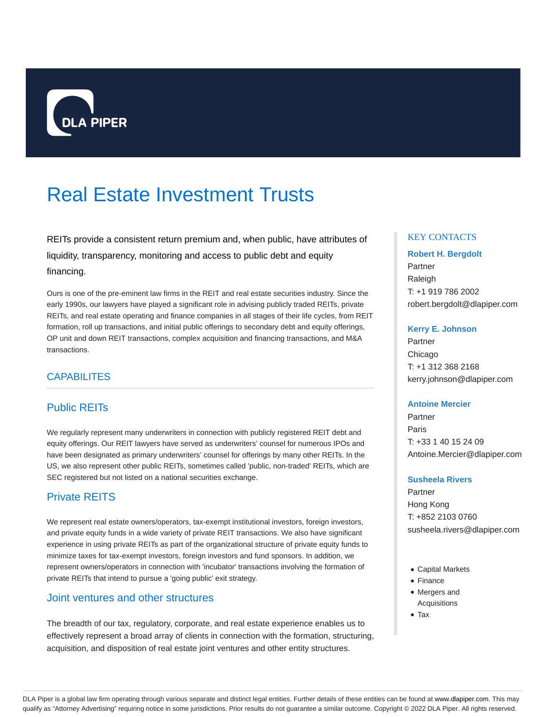

# Real Estate Investment Trusts

REITs provide a consistent return premium and, when public, have attributes of liquidity, transparency, monitoring and access to public debt and equity financing.

Ours is one of the pre-eminent law firms in the REIT and real estate securities industry. Since the early 1990s, our lawyers have played a significant role in advising publicly traded REITs, private REITs, and real estate operating and finance companies in all stages of their life cycles, from REIT formation, roll up transactions, and initial public offerings to secondary debt and equity offerings, OP unit and down REIT transactions, complex acquisition and financing transactions, and M&A transactions.

# **CAPABILITES**

# Public REITs

We regularly represent many underwriters in connection with publicly registered REIT debt and equity offerings. Our REIT lawyers have served as underwriters' counsel for numerous IPOs and have been designated as primary underwriters' counsel for offerings by many other REITs. In the US, we also represent other public REITs, sometimes called 'public, non-traded' REITs, which are SEC registered but not listed on a national securities exchange.

# Private REITS

We represent real estate owners/operators, tax-exempt institutional investors, foreign investors, and private equity funds in a wide variety of private REIT transactions. We also have significant experience in using private REITs as part of the organizational structure of private equity funds to minimize taxes for tax-exempt investors, foreign investors and fund sponsors. In addition, we represent owners/operators in connection with 'incubator' transactions involving the formation of private REITs that intend to pursue a 'going public' exit strategy.

## Joint ventures and other structures

The breadth of our tax, regulatory, corporate, and real estate experience enables us to effectively represent a broad array of clients in connection with the formation, structuring, acquisition, and disposition of real estate joint ventures and other entity structures.

## KEY CONTACTS

## **Robert H. Bergdolt**

Partner Raleigh T: +1 919 786 2002 robert.bergdolt@dlapiper.com

#### **Kerry E. Johnson**

Partner Chicago T: +1 312 368 2168 kerry.johnson@dlapiper.com

#### **Antoine Mercier**

Partner Paris T: +33 1 40 15 24 09 Antoine.Mercier@dlapiper.com

#### **Susheela Rivers**

Partner Hong Kong T: +852 2103 0760 susheela.rivers@dlapiper.com

- Capital Markets
- Finance
- Mergers and Acquisitions
- Tax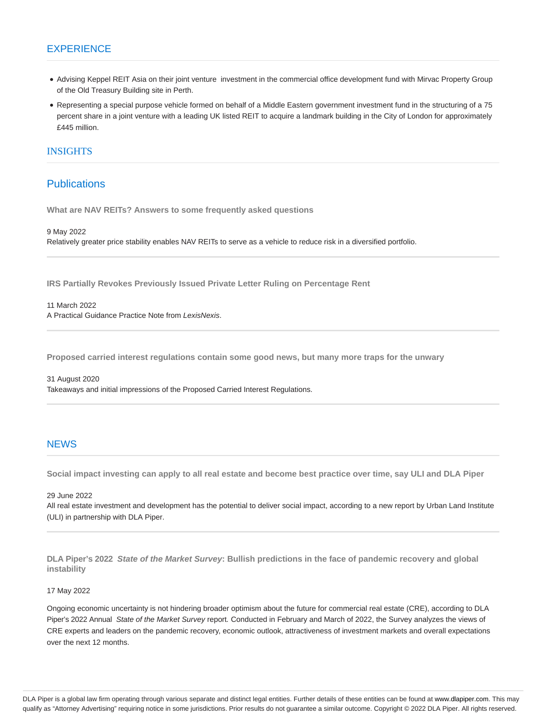## **EXPERIENCE**

- Advising Keppel REIT Asia on their joint venture investment in the commercial office development fund with Mirvac Property Group of the Old Treasury Building site in Perth.
- Representing a special purpose vehicle formed on behalf of a Middle Eastern government investment fund in the structuring of a 75 percent share in a joint venture with a leading UK listed REIT to acquire a landmark building in the City of London for approximately £445 million.

## INSIGHTS

## **Publications**

**What are NAV REITs? Answers to some frequently asked questions**

9 May 2022

Relatively greater price stability enables NAV REITs to serve as a vehicle to reduce risk in a diversified portfolio.

**IRS Partially Revokes Previously Issued Private Letter Ruling on Percentage Rent**

11 March 2022 A Practical Guidance Practice Note from LexisNexis.

**Proposed carried interest regulations contain some good news, but many more traps for the unwary**

31 August 2020 Takeaways and initial impressions of the Proposed Carried Interest Regulations.

## **NEWS**

**Social impact investing can apply to all real estate and become best practice over time, say ULI and DLA Piper**

#### 29 June 2022

All real estate investment and development has the potential to deliver social impact, according to a new report by Urban Land Institute (ULI) in partnership with DLA Piper.

**DLA Piper's 2022 State of the Market Survey: Bullish predictions in the face of pandemic recovery and global instability**

#### 17 May 2022

Ongoing economic uncertainty is not hindering broader optimism about the future for commercial real estate (CRE), according to DLA Piper's 2022 Annual State of the Market Survey report. Conducted in February and March of 2022, the Survey analyzes the views of CRE experts and leaders on the pandemic recovery, economic outlook, attractiveness of investment markets and overall expectations over the next 12 months.

DLA Piper is a global law firm operating through various separate and distinct legal entities. Further details of these entities can be found at www.dlapiper.com. This may qualify as "Attorney Advertising" requiring notice in some jurisdictions. Prior results do not guarantee a similar outcome. Copyright © 2022 DLA Piper. All rights reserved.